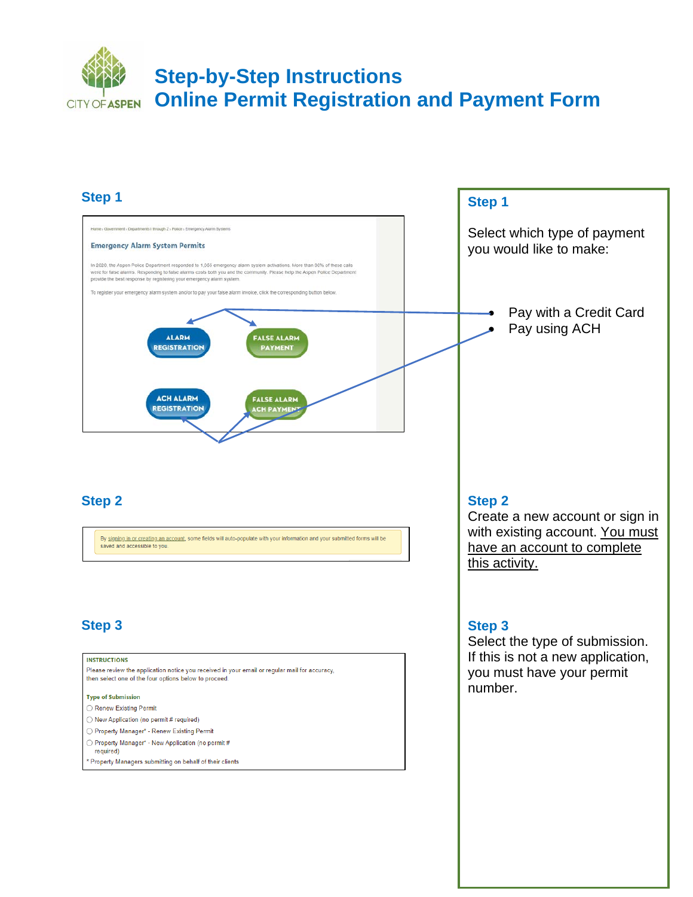#### **Step 1**

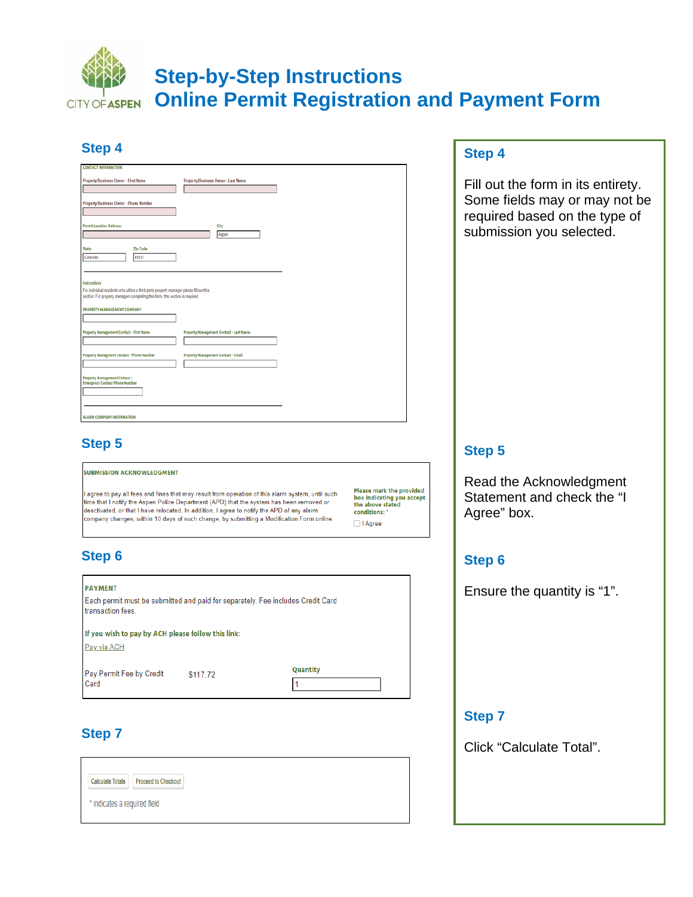| ٠                                                                                                                                                                          |                                                |
|----------------------------------------------------------------------------------------------------------------------------------------------------------------------------|------------------------------------------------|
| <b>CONTACT INFORMATION</b>                                                                                                                                                 |                                                |
| Property/Business Owner - First Name                                                                                                                                       | Property/Business Owner - Last Name            |
|                                                                                                                                                                            |                                                |
| Property/Business Owner - Phone Number                                                                                                                                     |                                                |
|                                                                                                                                                                            |                                                |
| <b>Permit Location Address:</b>                                                                                                                                            | City                                           |
|                                                                                                                                                                            | Aspen                                          |
| Zip Code<br>State:                                                                                                                                                         |                                                |
| Colorado<br>81611                                                                                                                                                          |                                                |
|                                                                                                                                                                            |                                                |
| Instructions                                                                                                                                                               |                                                |
| For individual residents who utilize a third-party property manager please fill out this<br>section. For property managers completing this form, this section is required. |                                                |
|                                                                                                                                                                            |                                                |
| PROPERTY MANAGEMENT COMPANY                                                                                                                                                |                                                |
|                                                                                                                                                                            |                                                |
| Property Management Contact - First Name                                                                                                                                   | <b>Property Management Contact - Last Name</b> |
|                                                                                                                                                                            |                                                |
| Property Managment Contact - Phone Number                                                                                                                                  | <b>Property Management Contact - Email</b>     |
|                                                                                                                                                                            |                                                |
| Property Management Contact -<br><b>Emergency Contact Phone Number</b>                                                                                                     |                                                |
|                                                                                                                                                                            |                                                |
|                                                                                                                                                                            |                                                |
| <b>ALARM COMPANY INFORMATION</b>                                                                                                                                           |                                                |
|                                                                                                                                                                            |                                                |

#### **Step 4**

Fill out the form in its entirety. Some fields may or may not be required based on the type of submission you selected.

#### **Step 5**

**Step 4**

| <b>SUBMISSION ACKNOWLEDGMENT</b> |
|----------------------------------|

I agree to pay all fees and fines that may result from operation of this alarm system, until such time that I notify the Aspen Police Department (APD) that the system has been removed or deactivated, or that I have relocated. In addition, I agree to notify the APD of any alarm ompany changes, within 10 days of such change, by submitting a Modification Form online.

**Step 6**

| <b>PAYMENT</b><br>Each permit must be submitted and paid for separately. Fee includes Credit Card<br>transaction fees. |          |          |
|------------------------------------------------------------------------------------------------------------------------|----------|----------|
| If you wish to pay by ACH please follow this link:<br>Pay via ACH                                                      |          |          |
| Pay Permit Fee by Credit<br>Card                                                                                       | \$117.72 | Quantity |

## **Step 7**



#### **Step 5**

Please mark the provided

box indicating you accept<br>the above stated

conditions:

 $\Box$  I Agree

Read the Acknowledgment Statement and check the "I Agree" box.

### **Step 6**

Ensure the quantity is "1".

#### **Step 7**

Click "Calculate Total".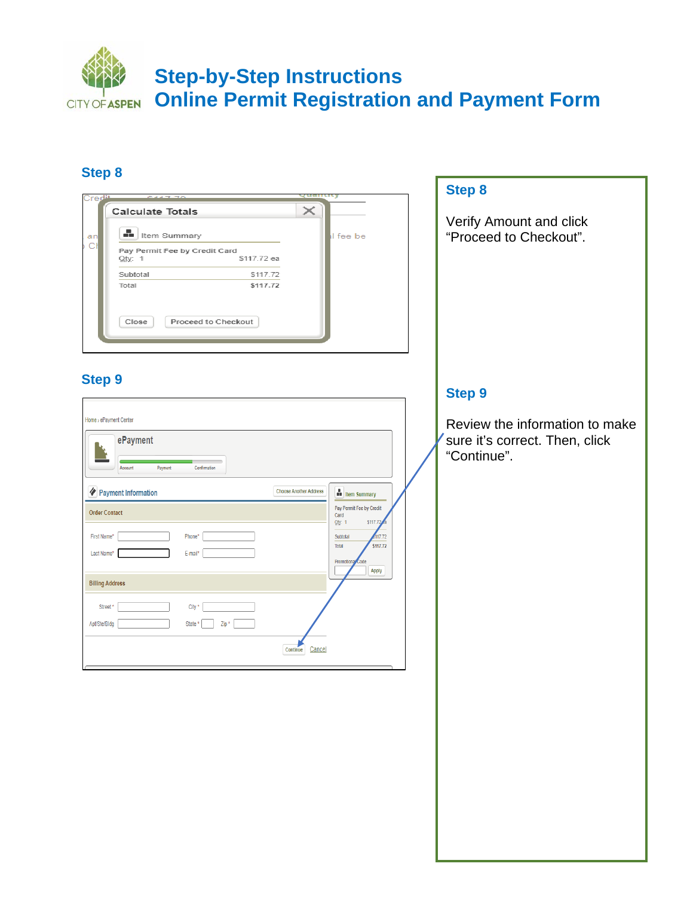

#### **Step 8**

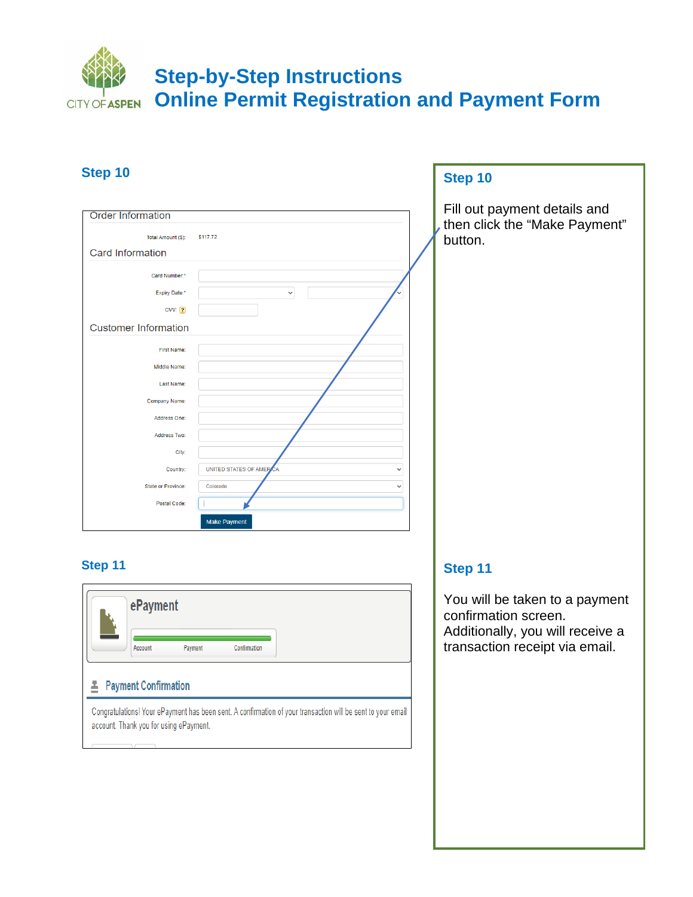#### **Step 10 Step 10** Fill out payment details and **Order Information** then click the "Make Payment" Total Amount (\$): \$117.72 button. Card Information Card Number: Expiry Date:\*  $\ddot{\phantom{0}}$  $CVV$   $\boxed{2}$ **Customer Information** First Name: Middle Name: Last Name: Company Name: Address One: Address Two: City: UNITED STATES OF AMER Country: State or Province: Colorado Postal Code: Make Payment

#### **Step 11**

| ePayment                    |                                        |              |                                                                                                             |
|-----------------------------|----------------------------------------|--------------|-------------------------------------------------------------------------------------------------------------|
| Account                     | Payment                                | Confirmation |                                                                                                             |
| <b>Payment Confirmation</b> |                                        |              |                                                                                                             |
|                             | account. Thank you for using ePayment. |              | Congratulations! Your ePayment has been sent. A confirmation of your transaction will be sent to your email |

#### **Step 11**

You will be taken to a payment confirmation screen. Additionally, you will receive a transaction receipt via email.